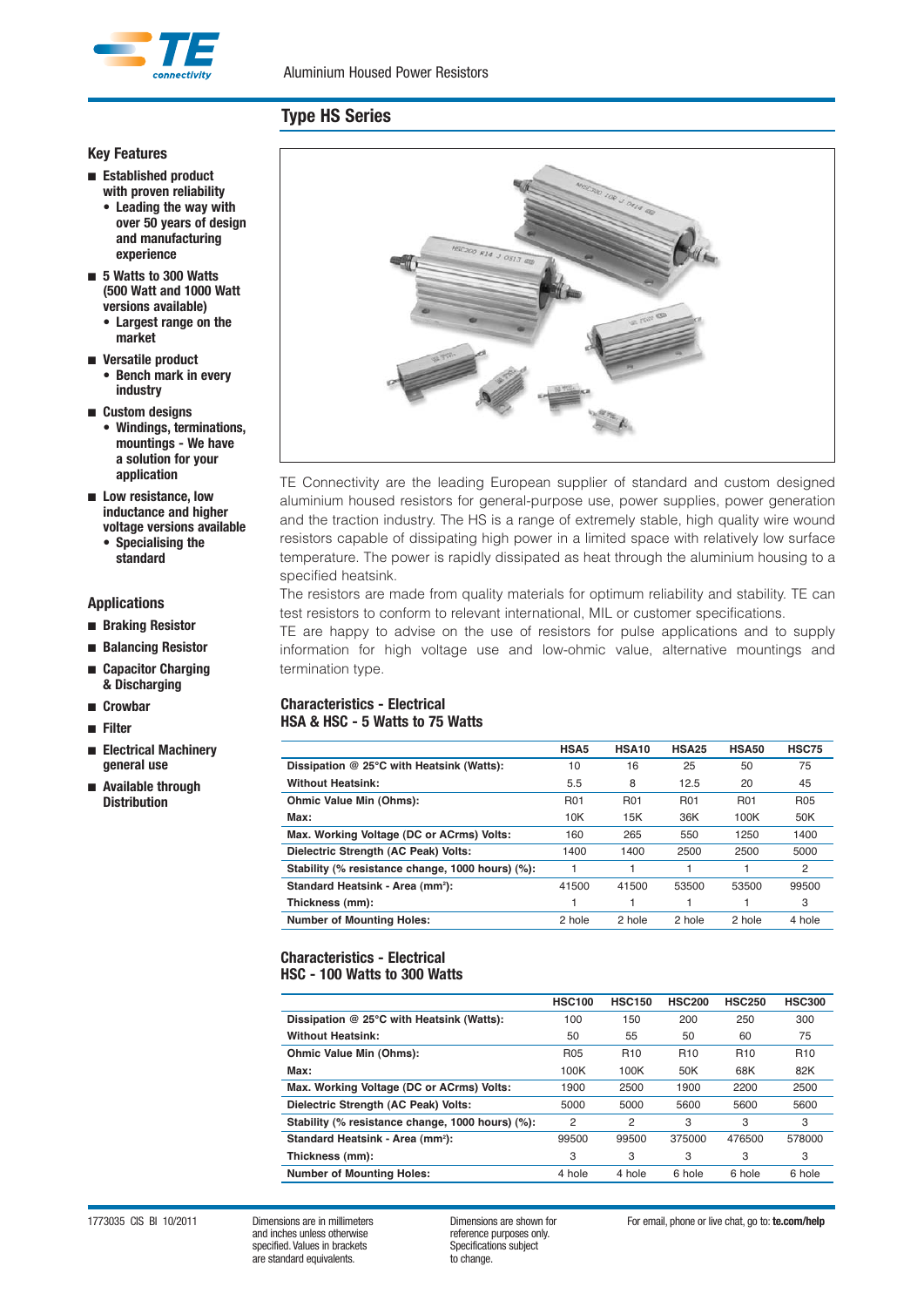

#### **Key Features**

- **Established product with proven reliability**
	- **Leading the way with over 50 years of design and manufacturing experience**
- **5 Watts to 300 Watts (500 Watt and 1000 Watt versions available)**
	- **Largest range on the market**
- **Versatile product • Bench mark in every industry**
- **Custom designs**
	- **Windings, terminations, mountings - We have a solution for your application**
- **Low resistance, low inductance and higher voltage versions available • Specialising the**
	- **standard**

### **Applications**

- **Braking Resistor**
- **Balancing Resistor**
- **Capacitor Charging & Discharging**
- **Crowbar**
- **Filter**
- **Electrical Machinery general use**
- **Available through Distribution**



TE Connectivity are the leading European supplier of standard and custom designed aluminium housed resistors for general-purpose use, power supplies, power generation and the traction industry. The HS is a range of extremely stable, high quality wire wound resistors capable of dissipating high power in a limited space with relatively low surface temperature. The power is rapidly dissipated as heat through the aluminium housing to a specified heatsink.

The resistors are made from quality materials for optimum reliability and stability. TE can test resistors to conform to relevant international, MIL or customer specifications.

TE are happy to advise on the use of resistors for pulse applications and to supply information for high voltage use and low-ohmic value, alternative mountings and termination type.

#### **Characteristics - Electrical HSA & HSC - 5 Watts to 75 Watts**

|                                                  | HSA <sub>5</sub> | HSA10      | <b>HSA25</b> | <b>HSA50</b> | <b>HSC75</b>   |
|--------------------------------------------------|------------------|------------|--------------|--------------|----------------|
| Dissipation @ 25°C with Heatsink (Watts):        | 10               | 16         | 25           | 50           | 75             |
| <b>Without Heatsink:</b>                         | 5.5              | 8          | 12.5         | 20           | 45             |
| Ohmic Value Min (Ohms):                          | <b>R01</b>       | <b>R01</b> | <b>R01</b>   | <b>R01</b>   | <b>R05</b>     |
| Max:                                             | 10K              | 15K        | 36K          | 100K         | 50K            |
| Max. Working Voltage (DC or ACrms) Volts:        | 160              | 265        | 550          | 1250         | 1400           |
| Dielectric Strength (AC Peak) Volts:             | 1400             | 1400       | 2500         | 2500         | 5000           |
| Stability (% resistance change, 1000 hours) (%): |                  |            |              |              | $\overline{2}$ |
| Standard Heatsink - Area (mm <sup>2</sup> ):     | 41500            | 41500      | 53500        | 53500        | 99500          |
| Thickness (mm):                                  |                  |            |              |              | 3              |
| <b>Number of Mounting Holes:</b>                 | 2 hole           | 2 hole     | 2 hole       | 2 hole       | 4 hole         |

#### **Characteristics - Electrical HSC - 100 Watts to 300 Watts**

|                                                  | <b>HSC100</b> | <b>HSC150</b> | <b>HSC200</b> | <b>HSC250</b> | <b>HSC300</b> |
|--------------------------------------------------|---------------|---------------|---------------|---------------|---------------|
| Dissipation @ 25°C with Heatsink (Watts):        | 100           | 150           | 200           | 250           | 300           |
| <b>Without Heatsink:</b>                         | 50            | 55            | 50            | 60            | 75            |
| Ohmic Value Min (Ohms):                          | <b>R05</b>    | <b>R10</b>    | <b>R10</b>    | <b>R10</b>    | <b>R10</b>    |
| Max:                                             | 100K          | 100K          | 50K           | 68K           | 82K           |
| Max. Working Voltage (DC or ACrms) Volts:        | 1900          | 2500          | 1900          | 2200          | 2500          |
| Dielectric Strength (AC Peak) Volts:             | 5000          | 5000          | 5600          | 5600          | 5600          |
| Stability (% resistance change, 1000 hours) (%): | 2             | 2             | 3             | 3             | 3             |
| Standard Heatsink - Area (mm <sup>2</sup> ):     | 99500         | 99500         | 375000        | 476500        | 578000        |
| Thickness (mm):                                  | 3             | 3             | 3             | 3             | 3             |
| <b>Number of Mounting Holes:</b>                 | 4 hole        | 4 hole        | 6 hole        | 6 hole        | 6 hole        |

1773035 CIS BI 10/2011 Dimensions are in millimeters Dimensions are shown for For email, phone or live chat, go to: **te.com/help**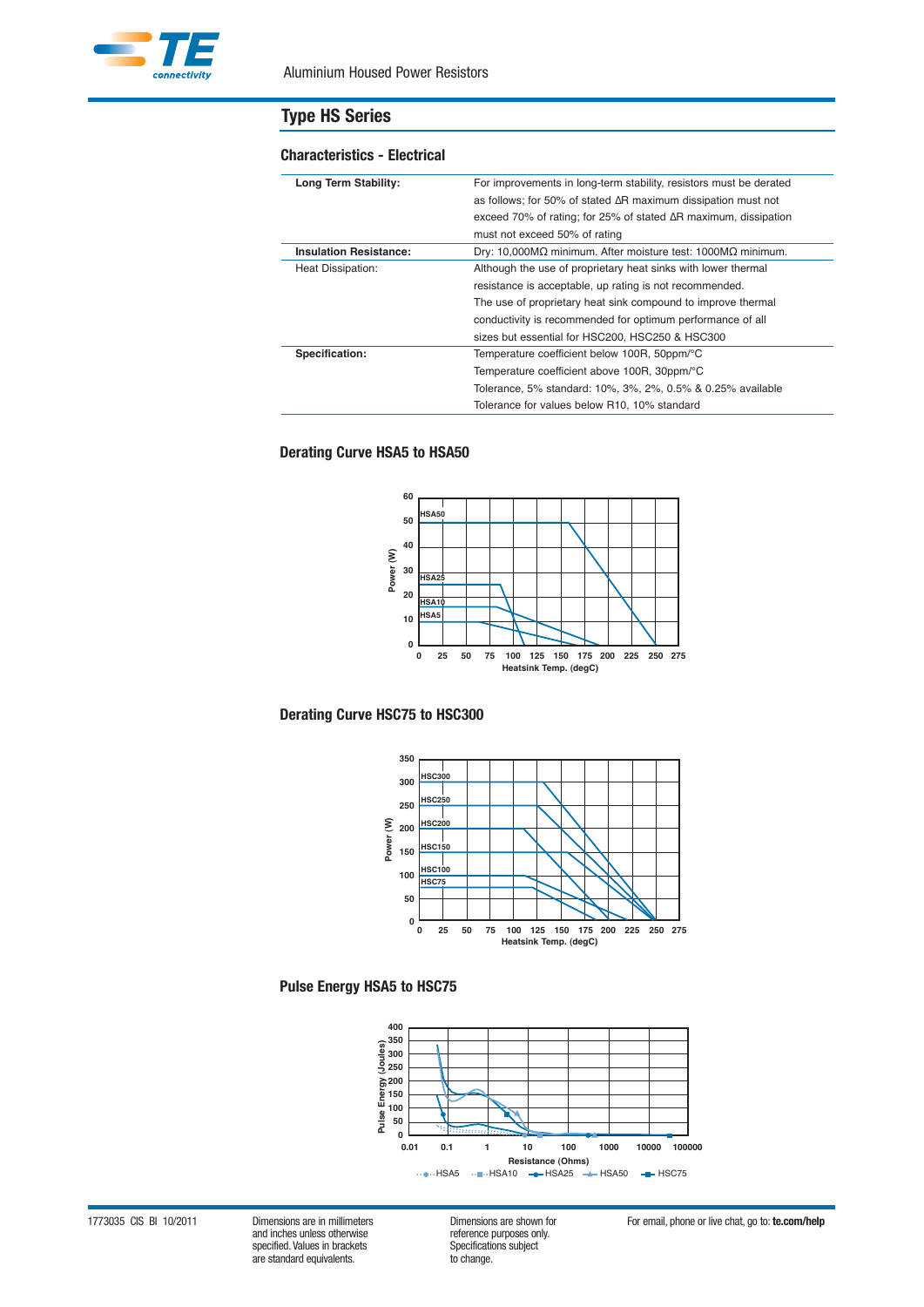

#### **Characteristics - Electrical**

| Long Term Stability:          | For improvements in long-term stability, resistors must be derated          |
|-------------------------------|-----------------------------------------------------------------------------|
|                               | as follows; for 50% of stated $\Delta R$ maximum dissipation must not       |
|                               | exceed 70% of rating; for 25% of stated $\Delta R$ maximum, dissipation     |
|                               | must not exceed 50% of rating                                               |
| <b>Insulation Resistance:</b> | Dry: 10,000M $\Omega$ minimum. After moisture test: 1000M $\Omega$ minimum. |
| Heat Dissipation:             | Although the use of proprietary heat sinks with lower thermal               |
|                               | resistance is acceptable, up rating is not recommended.                     |
|                               | The use of proprietary heat sink compound to improve thermal                |
|                               | conductivity is recommended for optimum performance of all                  |
|                               | sizes but essential for HSC200, HSC250 & HSC300                             |
| Specification:                | Temperature coefficient below 100R, 50ppm/°C                                |
|                               | Temperature coefficient above 100R, 30ppm/°C                                |
|                               | Tolerance, 5% standard: 10%, 3%, 2%, 0.5% & 0.25% available                 |
|                               | Tolerance for values below R10, 10% standard                                |

### **Derating Curve HSA5 to HSA50**



### **Derating Curve HSC75 to HSC300**



### **Pulse Energy HSA5 to HSC75**



1773035 CIS BI 10/2011 Dimensions are in millimeters Dimensions are shown for For email, phone or live chat, go to: **te.com/help** and inches unless otherwise specified. Values in brackets Specifications Specifications subsections of the subject of the Specification of the standard equivalents. are standard equivalents.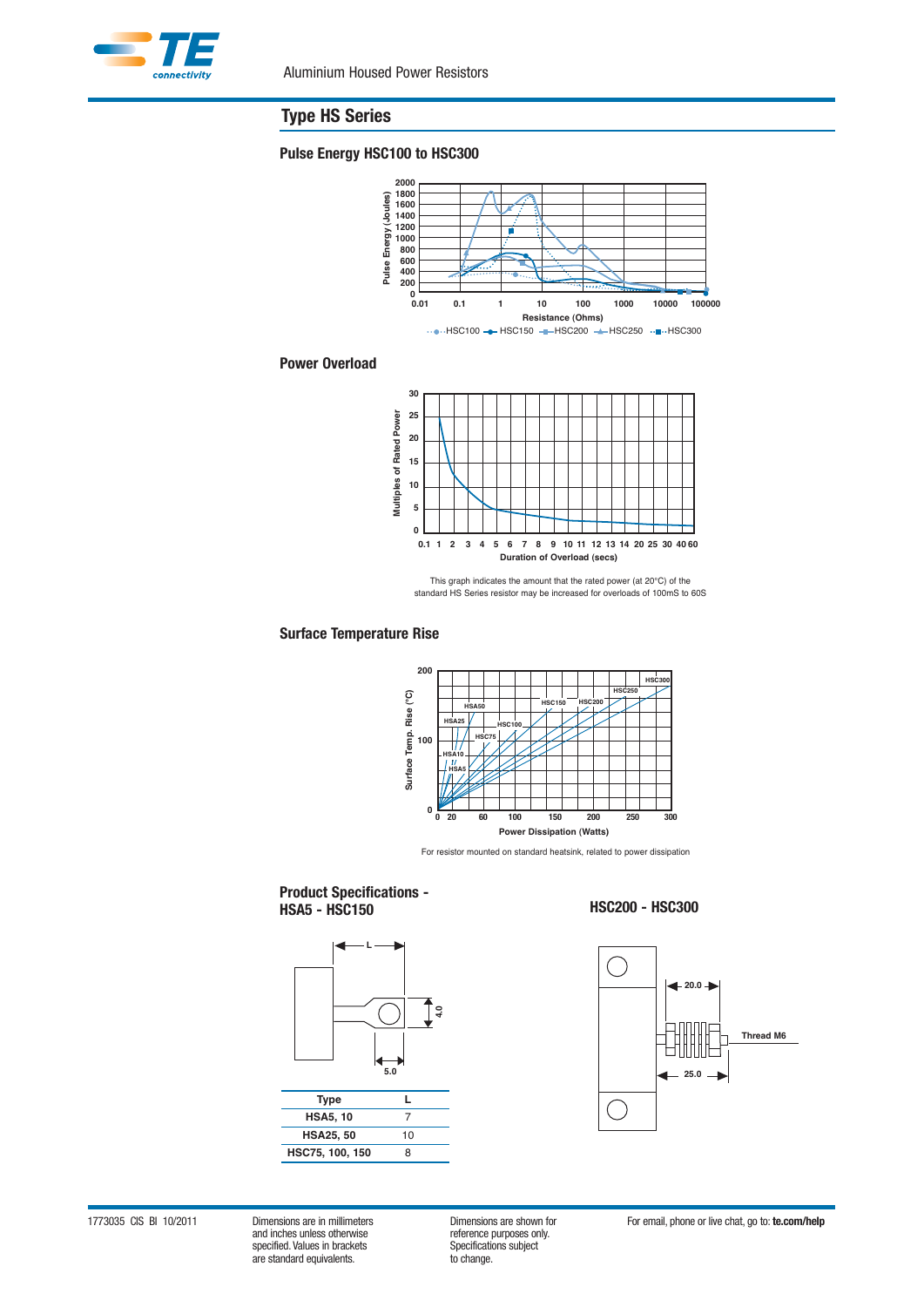

### **Pulse Energy HSC100 to HSC300**



#### **Power Overload**



This graph indicates the amount that the rated power (at 20°C) of the standard HS Series resistor may be increased for overloads of 100mS to 60S

### **Surface Temperature Rise**



For resistor mounted on standard heatsink, related to power dissipation

#### **Product Specifications - HSA5 - HSC150 HSC200 - HSC300**





1773035 CIS BI 10/2011 Dimensions are in millimeters Dimensions are shown for For email, phone or live chat, go to: **te.com/help** specified. Values in brackets Specifications specifications subsections in the subject of the Specification of the standard equivalents. are standard equivalents.

efference purposes only.<br>Specifications subject